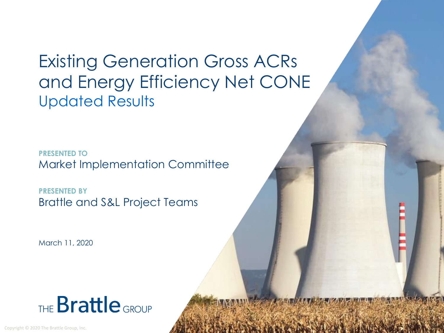### Existing Generation Gross ACRs and Energy Efficiency Net CONE Updated Results

**PRESENTED TO** Market Implementation Committee

**PRESENTED BY** Brattle and S&L Project Teams

March 11, 2020



Copyright © 2020 The Brattle Group, Inc.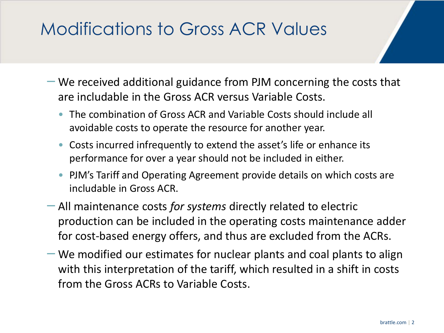# Modifications to Gross ACR Values

- We received additional guidance from PJM concerning the costs that are includable in the Gross ACR versus Variable Costs.
	- The combination of Gross ACR and Variable Costs should include all avoidable costs to operate the resource for another year.
	- Costs incurred infrequently to extend the asset's life or enhance its performance for over a year should not be included in either.
	- PJM's Tariff and Operating Agreement provide details on which costs are includable in Gross ACR.
- All maintenance costs *for systems* directly related to electric production can be included in the operating costs maintenance adder for cost-based energy offers, and thus are excluded from the ACRs.
- We modified our estimates for nuclear plants and coal plants to align with this interpretation of the tariff, which resulted in a shift in costs from the Gross ACRs to Variable Costs.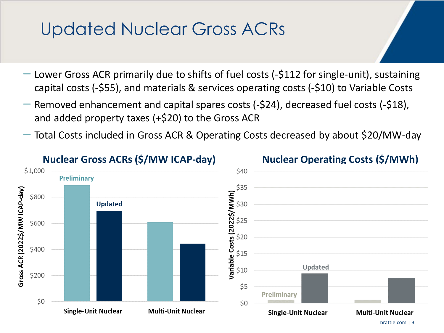#### Updated Nuclear Gross ACRs

- Lower Gross ACR primarily due to shifts of fuel costs (-\$112 for single-unit), sustaining capital costs (-\$55), and materials & services operating costs (-\$10) to Variable Costs
- Removed enhancement and capital spares costs (-\$24), decreased fuel costs (-\$18), and added property taxes (+\$20) to the Gross ACR
- Total Costs included in Gross ACR & Operating Costs decreased by about \$20/MW-day

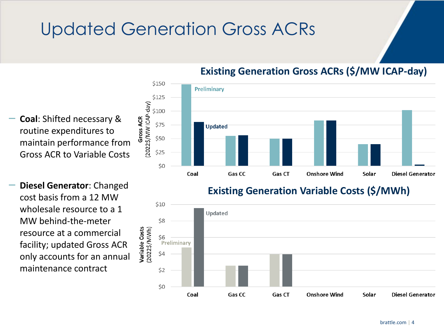# Updated Generation Gross ACRs



#### **Existing Generation Gross ACRs (\$/MW ICAP-day)**

- **Coal**: Shifted necessary & routine expenditures to maintain performance from Gross ACR to Variable Costs
- **Diesel Generator**: Changed cost basis from a 12 MW wholesale resource to a 1 MW behind-the-meter resource at a commercial facility; updated Gross ACR only accounts for an annual maintenance contract

#### **Existing Generation Variable Costs (\$/MWh)**

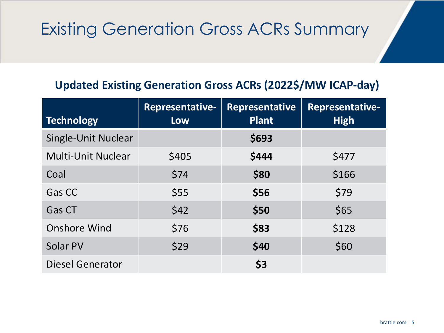# Existing Generation Gross ACRs Summary

#### **Updated Existing Generation Gross ACRs (2022\$/MW ICAP-day)**

| <b>Technology</b>         | <b>Representative-</b><br><b>Low</b> | <b>Representative</b><br><b>Plant</b> | <b>Representative-</b><br><b>High</b> |
|---------------------------|--------------------------------------|---------------------------------------|---------------------------------------|
| Single-Unit Nuclear       |                                      | \$693                                 |                                       |
| <b>Multi-Unit Nuclear</b> | \$405                                | \$444                                 | \$477                                 |
| Coal                      | \$74                                 | \$80                                  | \$166                                 |
| Gas CC                    | \$55                                 | \$56                                  | \$79                                  |
| <b>Gas CT</b>             | \$42                                 | \$50                                  | \$65                                  |
| <b>Onshore Wind</b>       | \$76                                 | \$83                                  | \$128                                 |
| Solar PV                  | \$29                                 | \$40                                  | \$60                                  |
| <b>Diesel Generator</b>   |                                      | \$3                                   |                                       |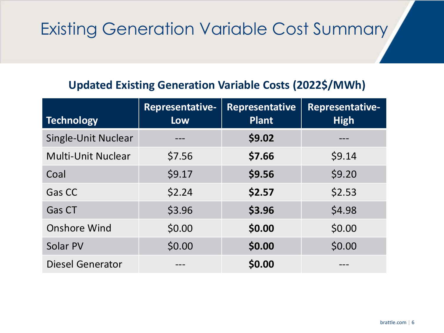# Existing Generation Variable Cost Summary

#### **Updated Existing Generation Variable Costs (2022\$/MWh)**

| <b>Technology</b>         | <b>Representative-</b><br><b>Low</b> | <b>Representative</b><br><b>Plant</b> | Representative-<br><b>High</b> |
|---------------------------|--------------------------------------|---------------------------------------|--------------------------------|
| Single-Unit Nuclear       |                                      | \$9.02                                |                                |
| <b>Multi-Unit Nuclear</b> | \$7.56                               | \$7.66                                | \$9.14                         |
| Coal                      | \$9.17                               | \$9.56                                | \$9.20                         |
| Gas CC                    | \$2.24                               | \$2.57                                | \$2.53                         |
| Gas CT                    | \$3.96                               | \$3.96                                | \$4.98                         |
| <b>Onshore Wind</b>       | \$0.00                               | \$0.00                                | \$0.00                         |
| Solar PV                  | \$0.00                               | \$0.00                                | \$0.00                         |
| <b>Diesel Generator</b>   |                                      | \$0.00                                |                                |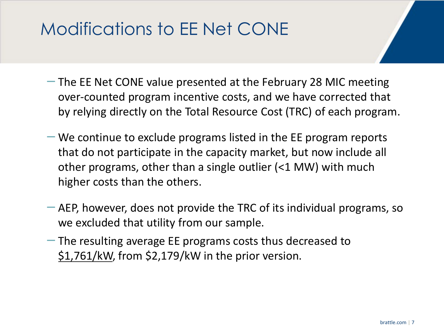# Modifications to EE Net CONE

- The EE Net CONE value presented at the February 28 MIC meeting over-counted program incentive costs, and we have corrected that by relying directly on the Total Resource Cost (TRC) of each program.
- $-$  We continue to exclude programs listed in the EE program reports that do not participate in the capacity market, but now include all other programs, other than a single outlier (<1 MW) with much higher costs than the others.
- AEP, however, does not provide the TRC of its individual programs, so we excluded that utility from our sample.
- The resulting average EE programs costs thus decreased to \$1,761/kW, from \$2,179/kW in the prior version.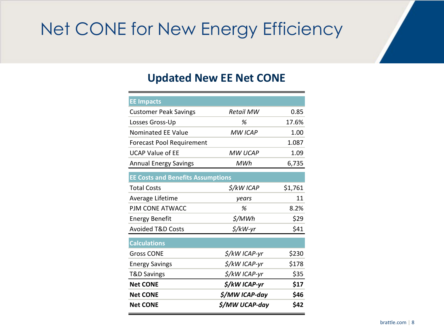# Net CONE for New Energy Efficiency

#### **Updated New EE Net CONE**

| <b>EE Impacts</b>                        |                |         |
|------------------------------------------|----------------|---------|
| <b>Customer Peak Savings</b>             | Retail MW      | 0.85    |
| Losses Gross-Up                          | %              | 17.6%   |
| <b>Nominated EE Value</b>                | <b>MW ICAP</b> | 1.00    |
| <b>Forecast Pool Requirement</b>         |                | 1.087   |
| <b>UCAP Value of EE</b>                  | <b>MW UCAP</b> | 1.09    |
| <b>Annual Energy Savings</b>             | MWh            | 6,735   |
| <b>EE Costs and Benefits Assumptions</b> |                |         |
| <b>Total Costs</b>                       | \$/kW ICAP     | \$1,761 |
| Average Lifetime                         | years          | 11      |
| PJM CONE ATWACC                          | %              | 8.2%    |
| <b>Energy Benefit</b>                    | \$/MWh         | \$29    |
| <b>Avoided T&amp;D Costs</b>             | \$/kW-yr       | \$41    |
| <b>Calculations</b>                      |                |         |
| <b>Gross CONE</b>                        | \$/kW ICAP-yr  | \$230   |
| <b>Energy Savings</b>                    | \$/kW ICAP-yr  | \$178   |
| T&D Savings                              | \$/kW ICAP-yr  | \$35    |
| <b>Net CONE</b>                          | \$/kW ICAP-yr  | \$17    |
| <b>Net CONE</b>                          | \$/MW ICAP-day | \$46    |
| <b>Net CONE</b>                          | \$/MW UCAP-day | \$42    |